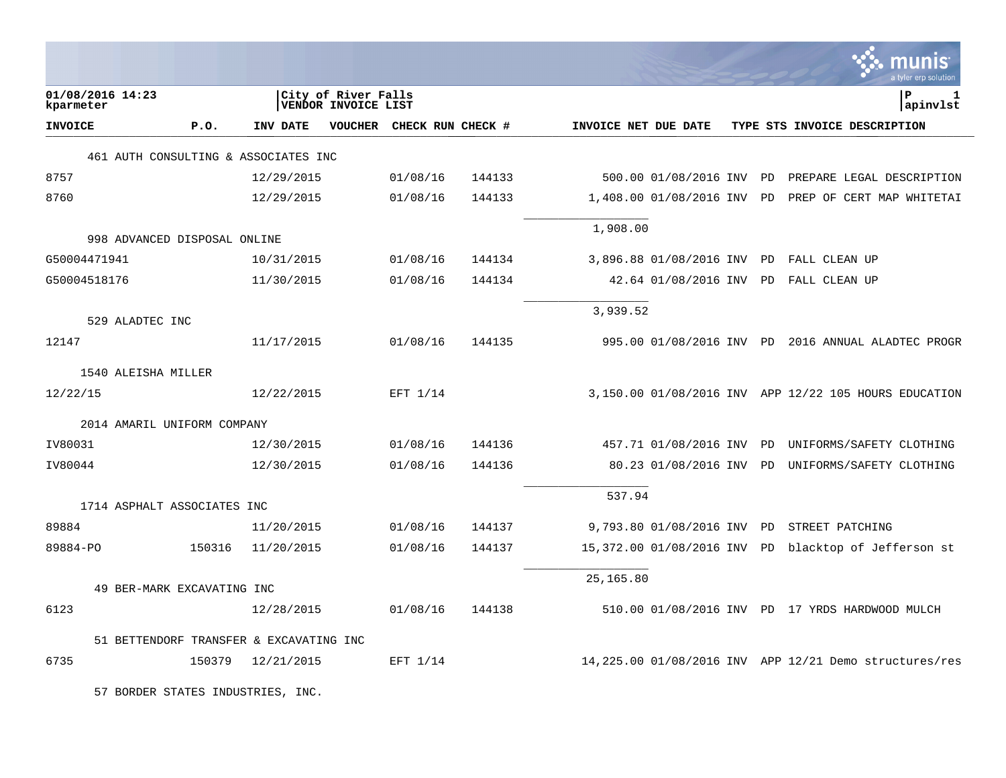|                                         |        |            |                                            |                           |        |                      |                          |           | a tyler erp solutior                                   |
|-----------------------------------------|--------|------------|--------------------------------------------|---------------------------|--------|----------------------|--------------------------|-----------|--------------------------------------------------------|
| 01/08/2016 14:23<br>kparmeter           |        |            | City of River Falls<br>VENDOR INVOICE LIST |                           |        |                      |                          |           | ΙP<br>1<br>apinvlst                                    |
| <b>INVOICE</b>                          | P.0.   | INV DATE   |                                            | VOUCHER CHECK RUN CHECK # |        | INVOICE NET DUE DATE |                          |           | TYPE STS INVOICE DESCRIPTION                           |
| 461 AUTH CONSULTING & ASSOCIATES INC    |        |            |                                            |                           |        |                      |                          |           |                                                        |
| 8757                                    |        | 12/29/2015 |                                            | 01/08/16                  | 144133 |                      | 500.00 01/08/2016 INV    | PD        | PREPARE LEGAL DESCRIPTION                              |
| 8760                                    |        | 12/29/2015 |                                            | 01/08/16                  | 144133 |                      | 1,408.00 01/08/2016 INV  | PD        | PREP OF CERT MAP WHITETAI                              |
| 998 ADVANCED DISPOSAL ONLINE            |        |            |                                            |                           |        | 1,908.00             |                          |           |                                                        |
| G50004471941                            |        | 10/31/2015 |                                            | 01/08/16                  | 144134 |                      | 3,896.88 01/08/2016 INV  | PD        | FALL CLEAN UP                                          |
| G50004518176                            |        | 11/30/2015 |                                            | 01/08/16                  | 144134 |                      | 42.64 01/08/2016 INV PD  |           | FALL CLEAN UP                                          |
| 529 ALADTEC INC                         |        |            |                                            |                           |        | 3,939.52             |                          |           |                                                        |
| 12147                                   |        | 11/17/2015 |                                            | 01/08/16                  | 144135 |                      |                          |           | 995.00 01/08/2016 INV PD 2016 ANNUAL ALADTEC PROGR     |
| 1540 ALEISHA MILLER                     |        |            |                                            |                           |        |                      |                          |           |                                                        |
| 12/22/15                                |        | 12/22/2015 |                                            | EFT 1/14                  |        |                      |                          |           | 3,150.00 01/08/2016 INV APP 12/22 105 HOURS EDUCATION  |
| 2014 AMARIL UNIFORM COMPANY             |        |            |                                            |                           |        |                      |                          |           |                                                        |
| IV80031                                 |        | 12/30/2015 |                                            | 01/08/16                  | 144136 |                      | 457.71 01/08/2016 INV    | <b>PD</b> | UNIFORMS/SAFETY CLOTHING                               |
| IV80044                                 |        | 12/30/2015 |                                            | 01/08/16                  | 144136 |                      | 80.23 01/08/2016 INV PD  |           | UNIFORMS/SAFETY CLOTHING                               |
| 1714 ASPHALT ASSOCIATES INC             |        |            |                                            |                           |        | 537.94               |                          |           |                                                        |
| 89884                                   |        | 11/20/2015 |                                            | 01/08/16                  | 144137 |                      | 9,793.80 01/08/2016 INV  | PD        | STREET PATCHING                                        |
| 89884-PO                                | 150316 | 11/20/2015 |                                            | 01/08/16                  | 144137 |                      | 15,372.00 01/08/2016 INV | PD        | blacktop of Jefferson st                               |
| 49 BER-MARK EXCAVATING INC              |        |            |                                            |                           |        | 25,165.80            |                          |           |                                                        |
| 6123                                    |        | 12/28/2015 |                                            | 01/08/16                  | 144138 |                      |                          |           | 510.00 01/08/2016 INV PD 17 YRDS HARDWOOD MULCH        |
| 51 BETTENDORF TRANSFER & EXCAVATING INC |        |            |                                            |                           |        |                      |                          |           |                                                        |
| 6735                                    | 150379 | 12/21/2015 |                                            | EFT 1/14                  |        |                      |                          |           | 14,225.00 01/08/2016 INV APP 12/21 Demo structures/res |
| 57 BORDER STATES INDUSTRIES, INC.       |        |            |                                            |                           |        |                      |                          |           |                                                        |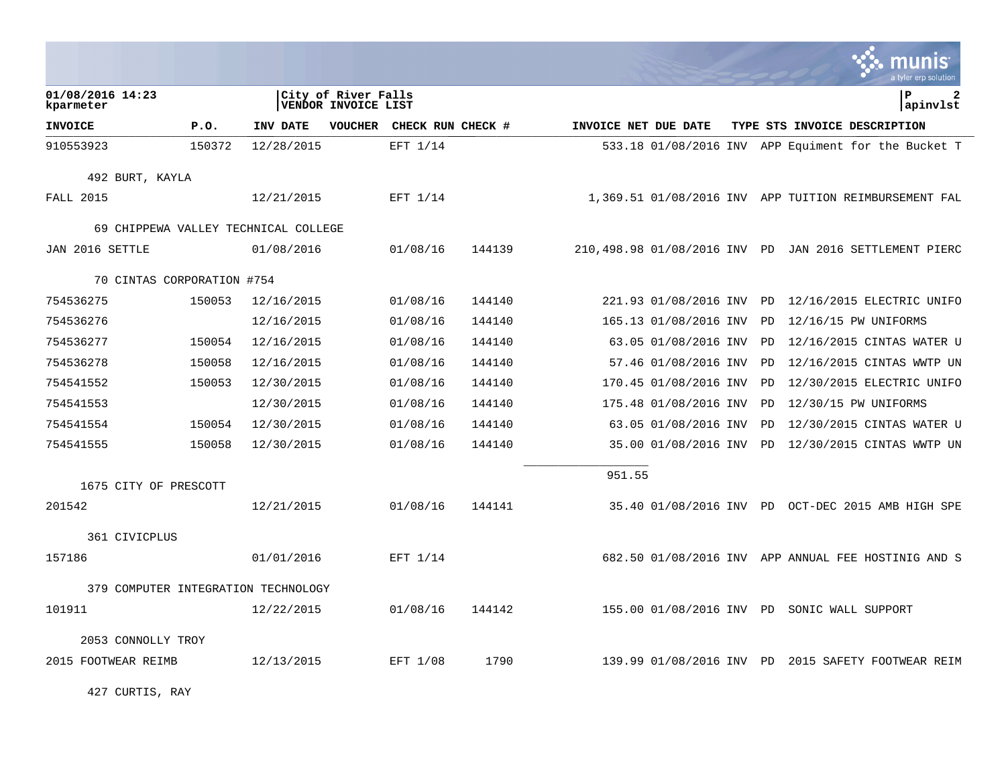|                                     |        |                                      |                                            |                   |        |                      |                          |    | munis<br>a tyler erp solution                          |
|-------------------------------------|--------|--------------------------------------|--------------------------------------------|-------------------|--------|----------------------|--------------------------|----|--------------------------------------------------------|
| 01/08/2016 14:23<br>kparmeter       |        |                                      | City of River Falls<br>VENDOR INVOICE LIST |                   |        |                      |                          |    | ΙP<br>2<br> apinvlst                                   |
| <b>INVOICE</b>                      | P.0.   | <b>INV DATE</b>                      | <b>VOUCHER</b>                             | CHECK RUN CHECK # |        | INVOICE NET DUE DATE |                          |    | TYPE STS INVOICE DESCRIPTION                           |
| 910553923                           | 150372 | 12/28/2015                           |                                            | EFT 1/14          |        |                      |                          |    | 533.18 01/08/2016 INV APP Equiment for the Bucket T    |
| 492 BURT, KAYLA                     |        |                                      |                                            |                   |        |                      |                          |    |                                                        |
| <b>FALL 2015</b>                    |        | 12/21/2015                           |                                            | $EFT$ 1/14        |        |                      |                          |    | 1,369.51 01/08/2016 INV APP TUITION REIMBURSEMENT FAL  |
|                                     |        | 69 CHIPPEWA VALLEY TECHNICAL COLLEGE |                                            |                   |        |                      |                          |    |                                                        |
| JAN 2016 SETTLE                     |        | 01/08/2016                           |                                            | 01/08/16          | 144139 |                      |                          |    | 210,498.98 01/08/2016 INV PD JAN 2016 SETTLEMENT PIERC |
| 70 CINTAS CORPORATION #754          |        |                                      |                                            |                   |        |                      |                          |    |                                                        |
| 754536275                           | 150053 | 12/16/2015                           |                                            | 01/08/16          | 144140 |                      | 221.93 01/08/2016 INV    | PD | 12/16/2015 ELECTRIC UNIFO                              |
| 754536276                           |        | 12/16/2015                           |                                            | 01/08/16          | 144140 |                      | 165.13 01/08/2016 INV    | PD | 12/16/15 PW UNIFORMS                                   |
| 754536277                           | 150054 | 12/16/2015                           |                                            | 01/08/16          | 144140 |                      | 63.05 01/08/2016 INV     | PD | 12/16/2015 CINTAS WATER U                              |
| 754536278                           | 150058 | 12/16/2015                           |                                            | 01/08/16          | 144140 |                      | 57.46 01/08/2016 INV     | PD | 12/16/2015 CINTAS WWTP UN                              |
| 754541552                           | 150053 | 12/30/2015                           |                                            | 01/08/16          | 144140 |                      | 170.45 01/08/2016 INV    | PD | 12/30/2015 ELECTRIC UNIFO                              |
| 754541553                           |        | 12/30/2015                           |                                            | 01/08/16          | 144140 |                      | 175.48 01/08/2016 INV    | PD | 12/30/15 PW UNIFORMS                                   |
| 754541554                           | 150054 | 12/30/2015                           |                                            | 01/08/16          | 144140 |                      | 63.05 01/08/2016 INV     | PD | 12/30/2015 CINTAS WATER U                              |
| 754541555                           | 150058 | 12/30/2015                           |                                            | 01/08/16          | 144140 |                      | 35.00 01/08/2016 INV     | PD | 12/30/2015 CINTAS WWTP UN                              |
| 1675 CITY OF PRESCOTT               |        |                                      |                                            |                   |        | 951.55               |                          |    |                                                        |
| 201542                              |        | 12/21/2015                           |                                            | 01/08/16          | 144141 |                      |                          |    | 35.40 01/08/2016 INV PD OCT-DEC 2015 AMB HIGH SPE      |
| 361 CIVICPLUS                       |        |                                      |                                            |                   |        |                      |                          |    |                                                        |
| 157186                              |        | 01/01/2016                           |                                            | EFT 1/14          |        |                      |                          |    | 682.50 01/08/2016 INV APP ANNUAL FEE HOSTINIG AND S    |
| 379 COMPUTER INTEGRATION TECHNOLOGY |        |                                      |                                            |                   |        |                      |                          |    |                                                        |
| 101911                              |        | 12/22/2015                           |                                            | 01/08/16          | 144142 |                      | 155.00 01/08/2016 INV PD |    | SONIC WALL SUPPORT                                     |
| 2053 CONNOLLY TROY                  |        |                                      |                                            |                   |        |                      |                          |    |                                                        |
| 2015 FOOTWEAR REIMB                 |        | 12/13/2015                           |                                            | EFT 1/08          | 1790   |                      | 139.99 01/08/2016 INV PD |    | 2015 SAFETY FOOTWEAR REIM                              |

427 CURTIS, RAY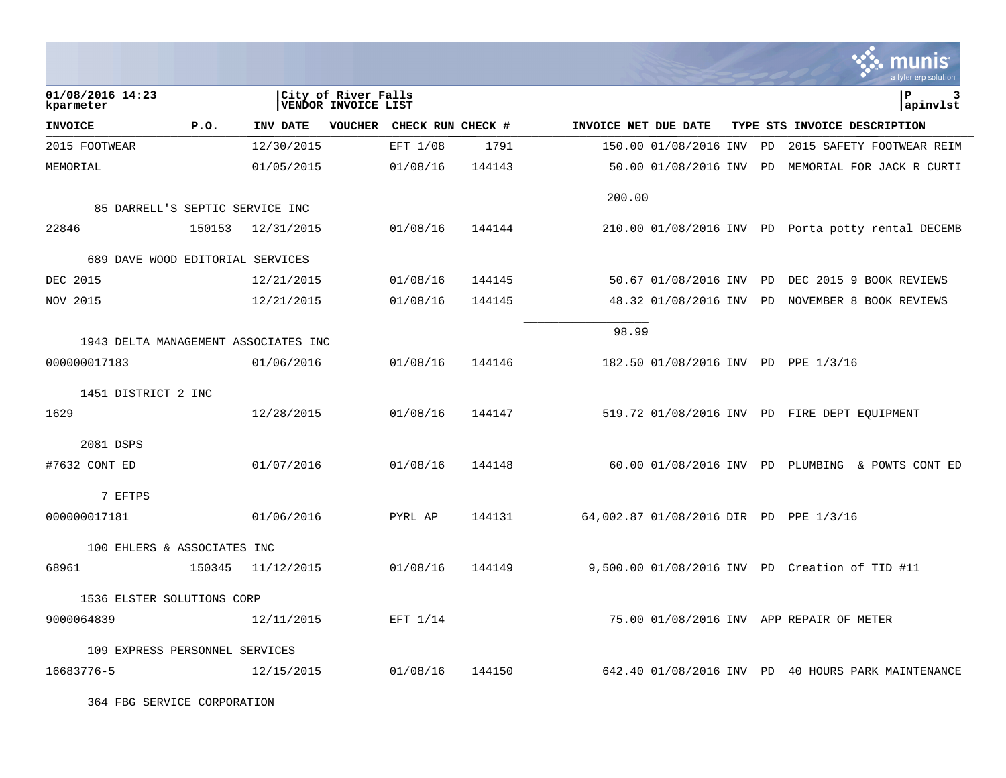|                                      |        |                 |                                            |                   |        |                      |                                        |    | nıs<br>a tyler erp solution                        |
|--------------------------------------|--------|-----------------|--------------------------------------------|-------------------|--------|----------------------|----------------------------------------|----|----------------------------------------------------|
| 01/08/2016 14:23<br>kparmeter        |        |                 | City of River Falls<br>VENDOR INVOICE LIST |                   |        |                      |                                        |    | lР<br>3<br>apinvlst                                |
| <b>INVOICE</b>                       | P.0.   | <b>INV DATE</b> | <b>VOUCHER</b>                             | CHECK RUN CHECK # |        | INVOICE NET DUE DATE |                                        |    | TYPE STS INVOICE DESCRIPTION                       |
| 2015 FOOTWEAR                        |        | 12/30/2015      |                                            | EFT 1/08          | 1791   |                      | 150.00 01/08/2016 INV                  | PD | 2015 SAFETY FOOTWEAR REIM                          |
| MEMORIAL                             |        | 01/05/2015      |                                            | 01/08/16          | 144143 |                      | 50.00 01/08/2016 INV PD                |    | MEMORIAL FOR JACK R CURTI                          |
| 85 DARRELL'S SEPTIC SERVICE INC      |        |                 |                                            |                   |        | 200.00               |                                        |    |                                                    |
| 22846                                | 150153 | 12/31/2015      |                                            | 01/08/16          | 144144 |                      |                                        |    | 210.00 01/08/2016 INV PD Porta potty rental DECEMB |
| 689 DAVE WOOD EDITORIAL SERVICES     |        |                 |                                            |                   |        |                      |                                        |    |                                                    |
| DEC 2015                             |        | 12/21/2015      |                                            | 01/08/16          | 144145 |                      | 50.67 01/08/2016 INV PD                |    | DEC 2015 9 BOOK REVIEWS                            |
| NOV 2015                             |        | 12/21/2015      |                                            | 01/08/16          | 144145 |                      |                                        |    | 48.32 01/08/2016 INV PD NOVEMBER 8 BOOK REVIEWS    |
| 1943 DELTA MANAGEMENT ASSOCIATES INC |        |                 |                                            |                   |        | 98.99                |                                        |    |                                                    |
| 000000017183                         |        | 01/06/2016      |                                            | 01/08/16          | 144146 |                      | 182.50 01/08/2016 INV PD PPE 1/3/16    |    |                                                    |
| 1451 DISTRICT 2 INC                  |        |                 |                                            |                   |        |                      |                                        |    |                                                    |
| 1629                                 |        | 12/28/2015      |                                            | 01/08/16          | 144147 |                      |                                        |    | 519.72 01/08/2016 INV PD FIRE DEPT EQUIPMENT       |
| 2081 DSPS                            |        |                 |                                            |                   |        |                      |                                        |    |                                                    |
| #7632 CONT ED                        |        | 01/07/2016      |                                            | 01/08/16          | 144148 |                      |                                        |    | 60.00 01/08/2016 INV PD PLUMBING & POWTS CONT ED   |
| 7 EFTPS                              |        |                 |                                            |                   |        |                      |                                        |    |                                                    |
| 000000017181                         |        | 01/06/2016      |                                            | PYRL AP           | 144131 |                      | 64,002.87 01/08/2016 DIR PD PPE 1/3/16 |    |                                                    |
| 100 EHLERS & ASSOCIATES INC          |        |                 |                                            |                   |        |                      |                                        |    |                                                    |
| 68961                                | 150345 | 11/12/2015      |                                            | 01/08/16          | 144149 |                      |                                        |    | 9,500.00 01/08/2016 INV PD Creation of TID #11     |
| 1536 ELSTER SOLUTIONS CORP           |        |                 |                                            |                   |        |                      |                                        |    |                                                    |
| 9000064839                           |        | 12/11/2015      |                                            | EFT 1/14          |        |                      |                                        |    | 75.00 01/08/2016 INV APP REPAIR OF METER           |
| 109 EXPRESS PERSONNEL SERVICES       |        |                 |                                            |                   |        |                      |                                        |    |                                                    |
| 16683776-5                           |        | 12/15/2015      |                                            | 01/08/16          | 144150 |                      |                                        |    | 642.40 01/08/2016 INV PD 40 HOURS PARK MAINTENANCE |

364 FBG SERVICE CORPORATION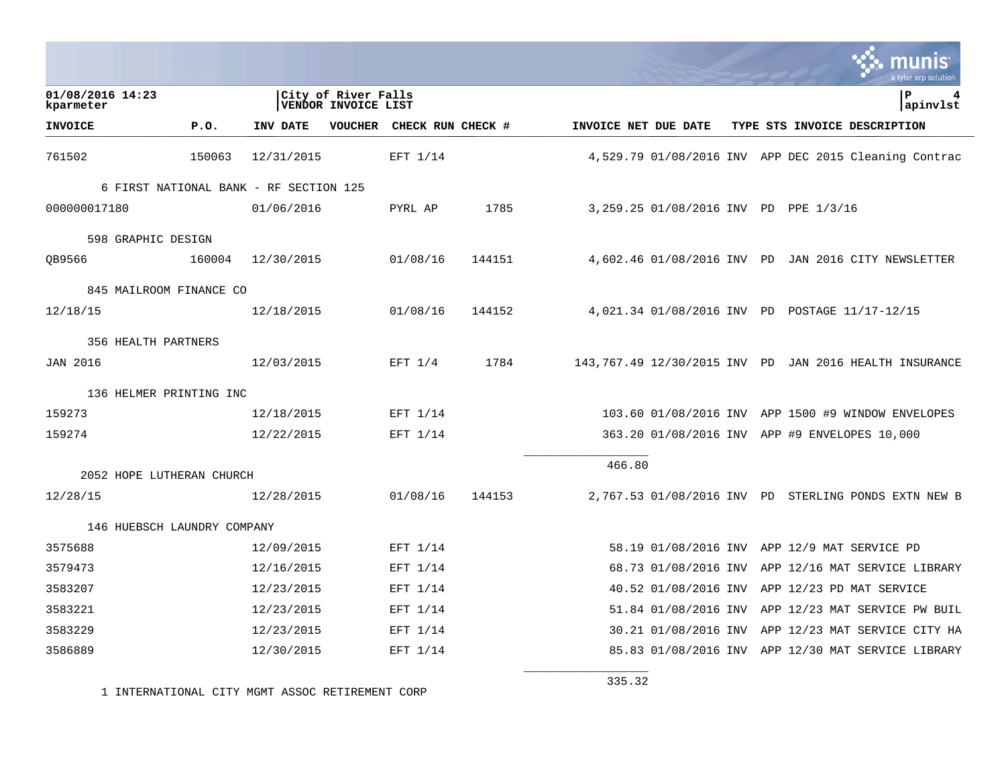|                                        |        |            |                                            |                           |        |                      |  | a tyler erp solutior                                   |
|----------------------------------------|--------|------------|--------------------------------------------|---------------------------|--------|----------------------|--|--------------------------------------------------------|
| 01/08/2016 14:23<br>kparmeter          |        |            | City of River Falls<br>VENDOR INVOICE LIST |                           |        |                      |  | ΙP<br>4<br>apinvlst                                    |
| <b>INVOICE</b>                         | P.0.   | INV DATE   |                                            | VOUCHER CHECK RUN CHECK # |        | INVOICE NET DUE DATE |  | TYPE STS INVOICE DESCRIPTION                           |
| 761502                                 | 150063 | 12/31/2015 |                                            | EFT 1/14                  |        |                      |  | 4,529.79 01/08/2016 INV APP DEC 2015 Cleaning Contrac  |
| 6 FIRST NATIONAL BANK - RF SECTION 125 |        |            |                                            |                           |        |                      |  |                                                        |
| 000000017180                           |        | 01/06/2016 |                                            | PYRL AP                   | 1785   |                      |  | 3,259.25 01/08/2016 INV PD PPE 1/3/16                  |
| 598 GRAPHIC DESIGN                     |        |            |                                            |                           |        |                      |  |                                                        |
| QB9566                                 | 160004 | 12/30/2015 |                                            | 01/08/16                  | 144151 |                      |  | 4,602.46 01/08/2016 INV PD JAN 2016 CITY NEWSLETTER    |
| 845 MAILROOM FINANCE CO                |        |            |                                            |                           |        |                      |  |                                                        |
| 12/18/15                               |        | 12/18/2015 |                                            | 01/08/16                  | 144152 |                      |  | 4,021.34 01/08/2016 INV PD POSTAGE 11/17-12/15         |
| 356 HEALTH PARTNERS                    |        |            |                                            |                           |        |                      |  |                                                        |
| <b>JAN 2016</b>                        |        | 12/03/2015 |                                            | EFT $1/4$                 | 1784   |                      |  | 143,767.49 12/30/2015 INV PD JAN 2016 HEALTH INSURANCE |
| 136 HELMER PRINTING INC                |        |            |                                            |                           |        |                      |  |                                                        |
| 159273                                 |        | 12/18/2015 |                                            | EFT 1/14                  |        |                      |  | 103.60 01/08/2016 INV APP 1500 #9 WINDOW ENVELOPES     |
| 159274                                 |        | 12/22/2015 |                                            | EFT 1/14                  |        |                      |  | 363.20 01/08/2016 INV APP #9 ENVELOPES 10,000          |
|                                        |        |            |                                            |                           |        | 466.80               |  |                                                        |
| 2052 HOPE LUTHERAN CHURCH<br>12/28/15  |        | 12/28/2015 |                                            | 01/08/16                  | 144153 |                      |  | 2,767.53 01/08/2016 INV PD STERLING PONDS EXTN NEW B   |
|                                        |        |            |                                            |                           |        |                      |  |                                                        |
| 146 HUEBSCH LAUNDRY COMPANY            |        |            |                                            |                           |        |                      |  |                                                        |
| 3575688                                |        | 12/09/2015 |                                            | EFT 1/14                  |        |                      |  | 58.19 01/08/2016 INV APP 12/9 MAT SERVICE PD           |
| 3579473                                |        | 12/16/2015 |                                            | EFT 1/14                  |        |                      |  | 68.73 01/08/2016 INV APP 12/16 MAT SERVICE LIBRARY     |
| 3583207                                |        | 12/23/2015 |                                            | EFT 1/14                  |        |                      |  | 40.52 01/08/2016 INV APP 12/23 PD MAT SERVICE          |
| 3583221                                |        | 12/23/2015 |                                            | EFT 1/14                  |        |                      |  | 51.84 01/08/2016 INV APP 12/23 MAT SERVICE PW BUIL     |
| 3583229                                |        | 12/23/2015 |                                            | EFT 1/14                  |        |                      |  | 30.21 01/08/2016 INV APP 12/23 MAT SERVICE CITY HA     |
| 3586889                                |        | 12/30/2015 |                                            | EFT 1/14                  |        |                      |  | 85.83 01/08/2016 INV APP 12/30 MAT SERVICE LIBRARY     |

1 INTERNATIONAL CITY MGMT ASSOC RETIREMENT CORP

335.32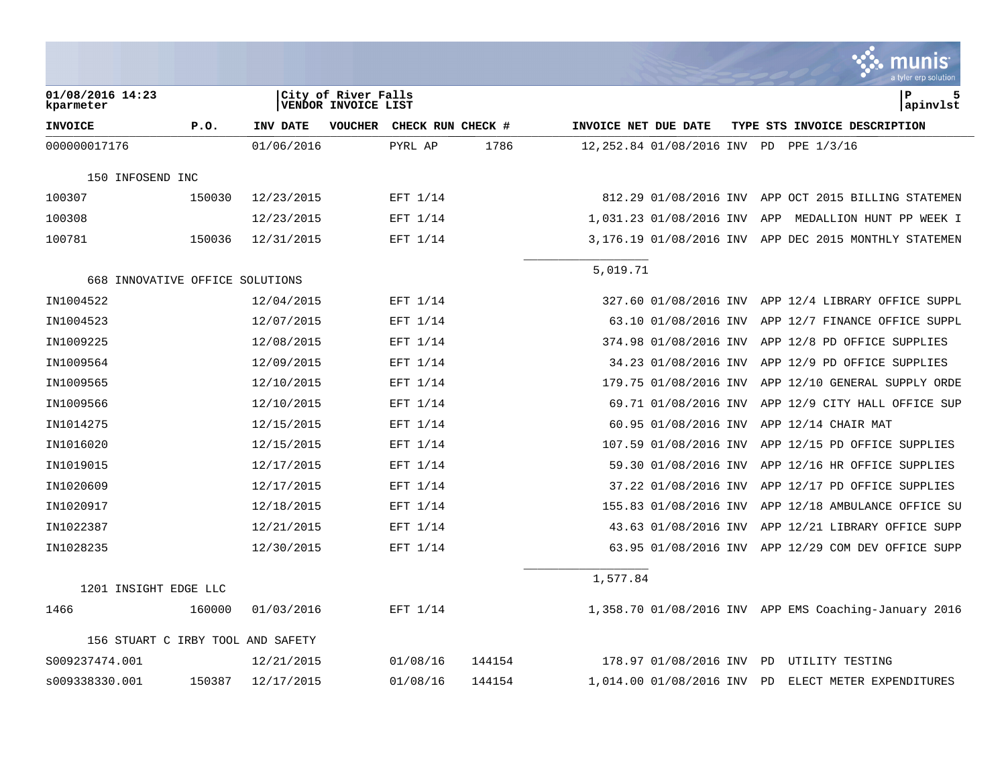|                                   |        |            |                                            |                   |        |                      |                            | a tyler erp solutior                                  |
|-----------------------------------|--------|------------|--------------------------------------------|-------------------|--------|----------------------|----------------------------|-------------------------------------------------------|
| 01/08/2016 14:23<br>kparmeter     |        |            | City of River Falls<br>VENDOR INVOICE LIST |                   |        |                      |                            | P<br>5<br>apinvlst                                    |
| <b>INVOICE</b>                    | P.0.   | INV DATE   | <b>VOUCHER</b>                             | CHECK RUN CHECK # |        | INVOICE NET DUE DATE |                            | TYPE STS INVOICE DESCRIPTION                          |
| 000000017176                      |        | 01/06/2016 |                                            | PYRL AP           | 1786   |                      |                            | 12,252.84 01/08/2016 INV PD PPE 1/3/16                |
| 150 INFOSEND INC                  |        |            |                                            |                   |        |                      |                            |                                                       |
| 100307                            | 150030 | 12/23/2015 |                                            | EFT 1/14          |        |                      |                            | 812.29 01/08/2016 INV APP OCT 2015 BILLING STATEMEN   |
| 100308                            |        | 12/23/2015 |                                            | EFT 1/14          |        |                      | 1,031.23 01/08/2016 INV    | APP<br>MEDALLION HUNT PP WEEK I                       |
| 100781                            | 150036 | 12/31/2015 |                                            | EFT 1/14          |        |                      |                            | 3,176.19 01/08/2016 INV APP DEC 2015 MONTHLY STATEMEN |
| 668 INNOVATIVE OFFICE SOLUTIONS   |        |            |                                            |                   |        | 5,019.71             |                            |                                                       |
| IN1004522                         |        | 12/04/2015 |                                            | EFT 1/14          |        |                      | 327.60 01/08/2016 INV      | APP 12/4 LIBRARY OFFICE SUPPL                         |
| IN1004523                         |        | 12/07/2015 |                                            | EFT 1/14          |        |                      | 63.10 01/08/2016 INV       | APP 12/7 FINANCE OFFICE SUPPL                         |
| IN1009225                         |        | 12/08/2015 |                                            | EFT 1/14          |        |                      | 374.98 01/08/2016 INV      | APP 12/8 PD OFFICE SUPPLIES                           |
| IN1009564                         |        | 12/09/2015 |                                            | EFT 1/14          |        |                      | 34.23 01/08/2016 INV       | APP 12/9 PD OFFICE SUPPLIES                           |
| IN1009565                         |        | 12/10/2015 |                                            | EFT 1/14          |        |                      | 179.75 01/08/2016 INV      | APP 12/10 GENERAL SUPPLY ORDE                         |
| IN1009566                         |        | 12/10/2015 |                                            | EFT 1/14          |        |                      | 69.71 01/08/2016 INV       | APP 12/9 CITY HALL OFFICE SUP                         |
| IN1014275                         |        | 12/15/2015 |                                            | EFT 1/14          |        |                      | 60.95 01/08/2016 INV       | APP 12/14 CHAIR MAT                                   |
| IN1016020                         |        | 12/15/2015 |                                            | EFT 1/14          |        |                      | 107.59 01/08/2016 INV      | APP 12/15 PD OFFICE SUPPLIES                          |
| IN1019015                         |        | 12/17/2015 |                                            | EFT 1/14          |        |                      | 59.30 01/08/2016 INV       | APP 12/16 HR OFFICE SUPPLIES                          |
| IN1020609                         |        | 12/17/2015 |                                            | EFT 1/14          |        |                      | 37.22 01/08/2016 INV       | APP 12/17 PD OFFICE SUPPLIES                          |
| IN1020917                         |        | 12/18/2015 |                                            | EFT 1/14          |        |                      | 155.83 01/08/2016 INV      | APP 12/18 AMBULANCE OFFICE SU                         |
| IN1022387                         |        | 12/21/2015 |                                            | EFT 1/14          |        |                      | 43.63 01/08/2016 INV       | APP 12/21 LIBRARY OFFICE SUPP                         |
| IN1028235                         |        | 12/30/2015 |                                            | EFT 1/14          |        |                      | 63.95 01/08/2016 INV       | APP 12/29 COM DEV OFFICE SUPP                         |
| 1201 INSIGHT EDGE LLC             |        |            |                                            |                   |        | 1,577.84             |                            |                                                       |
| 1466                              | 160000 | 01/03/2016 |                                            | EFT 1/14          |        |                      |                            | 1,358.70 01/08/2016 INV APP EMS Coaching-January 2016 |
|                                   |        |            |                                            |                   |        |                      |                            |                                                       |
| 156 STUART C IRBY TOOL AND SAFETY |        |            |                                            |                   |        |                      |                            |                                                       |
| S009237474.001                    |        | 12/21/2015 |                                            | 01/08/16          | 144154 |                      | 178.97 01/08/2016 INV      | PD<br>UTILITY TESTING                                 |
| s009338330.001                    | 150387 | 12/17/2015 |                                            | 01/08/16          | 144154 |                      | 1,014.00 01/08/2016 INV PD | ELECT METER EXPENDITURES                              |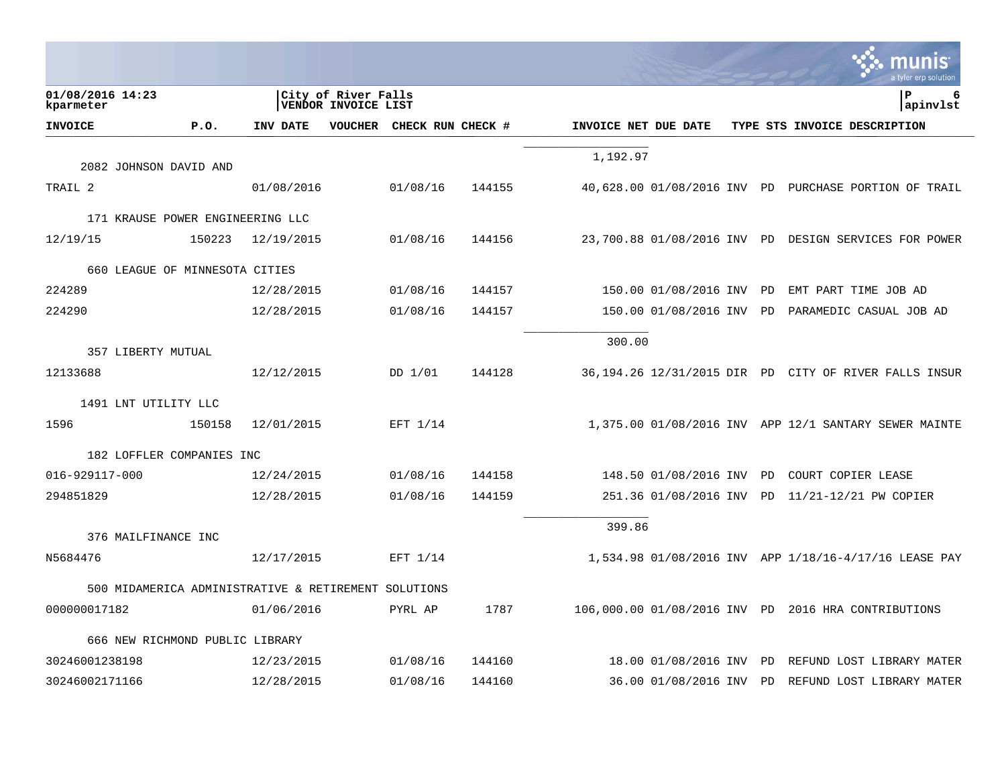|                                                      |        |            |                                            |                   |        |                      |                       |    | a tyler erp solution                                  |
|------------------------------------------------------|--------|------------|--------------------------------------------|-------------------|--------|----------------------|-----------------------|----|-------------------------------------------------------|
| 01/08/2016 14:23<br>kparmeter                        |        |            | City of River Falls<br>VENDOR INVOICE LIST |                   |        |                      |                       |    | P<br>6<br>apinvlst                                    |
| <b>INVOICE</b>                                       | P.O.   | INV DATE   | VOUCHER                                    | CHECK RUN CHECK # |        | INVOICE NET DUE DATE |                       |    | TYPE STS INVOICE DESCRIPTION                          |
|                                                      |        |            |                                            |                   |        | 1,192.97             |                       |    |                                                       |
| 2082 JOHNSON DAVID AND                               |        |            |                                            |                   |        |                      |                       |    |                                                       |
| TRAIL 2                                              |        | 01/08/2016 |                                            | 01/08/16          | 144155 |                      |                       |    | 40,628.00 01/08/2016 INV PD PURCHASE PORTION OF TRAIL |
| 171 KRAUSE POWER ENGINEERING LLC                     |        |            |                                            |                   |        |                      |                       |    |                                                       |
| 12/19/15                                             | 150223 | 12/19/2015 |                                            | 01/08/16          | 144156 |                      |                       |    | 23,700.88 01/08/2016 INV PD DESIGN SERVICES FOR POWER |
| 660 LEAGUE OF MINNESOTA CITIES                       |        |            |                                            |                   |        |                      |                       |    |                                                       |
| 224289                                               |        | 12/28/2015 |                                            | 01/08/16          | 144157 |                      | 150.00 01/08/2016 INV | PD | EMT PART TIME JOB AD                                  |
| 224290                                               |        | 12/28/2015 |                                            | 01/08/16          | 144157 |                      | 150.00 01/08/2016 INV | PD | PARAMEDIC CASUAL JOB AD                               |
|                                                      |        |            |                                            |                   |        |                      |                       |    |                                                       |
| 357 LIBERTY MUTUAL                                   |        |            |                                            |                   |        | 300.00               |                       |    |                                                       |
| 12133688                                             |        | 12/12/2015 |                                            | DD 1/01           | 144128 |                      |                       |    | 36,194.26 12/31/2015 DIR PD CITY OF RIVER FALLS INSUR |
| 1491 LNT UTILITY LLC                                 |        |            |                                            |                   |        |                      |                       |    |                                                       |
| 1596                                                 | 150158 | 12/01/2015 |                                            | EFT 1/14          |        |                      |                       |    | 1,375.00 01/08/2016 INV APP 12/1 SANTARY SEWER MAINTE |
|                                                      |        |            |                                            |                   |        |                      |                       |    |                                                       |
| 182 LOFFLER COMPANIES INC                            |        |            |                                            |                   |        |                      |                       |    |                                                       |
| 016-929117-000                                       |        | 12/24/2015 |                                            | 01/08/16          | 144158 |                      | 148.50 01/08/2016 INV | PD | COURT COPIER LEASE                                    |
| 294851829                                            |        | 12/28/2015 |                                            | 01/08/16          | 144159 |                      | 251.36 01/08/2016 INV | PD | 11/21-12/21 PW COPIER                                 |
| 376 MAILFINANCE INC                                  |        |            |                                            |                   |        | 399.86               |                       |    |                                                       |
| N5684476                                             |        | 12/17/2015 |                                            | EFT 1/14          |        |                      |                       |    | 1,534.98 01/08/2016 INV APP 1/18/16-4/17/16 LEASE PAY |
|                                                      |        |            |                                            |                   |        |                      |                       |    |                                                       |
| 500 MIDAMERICA ADMINISTRATIVE & RETIREMENT SOLUTIONS |        |            |                                            |                   |        |                      |                       |    |                                                       |
| 000000017182                                         |        | 01/06/2016 |                                            | PYRL AP           | 1787   |                      |                       |    | 106,000.00 01/08/2016 INV PD 2016 HRA CONTRIBUTIONS   |
| 666 NEW RICHMOND PUBLIC LIBRARY                      |        |            |                                            |                   |        |                      |                       |    |                                                       |
| 30246001238198                                       |        | 12/23/2015 |                                            | 01/08/16          | 144160 |                      | 18.00 01/08/2016 INV  | PD | REFUND LOST LIBRARY MATER                             |
| 30246002171166                                       |        | 12/28/2015 |                                            | 01/08/16          | 144160 |                      | 36.00 01/08/2016 INV  | PD | REFUND LOST LIBRARY MATER                             |

**College**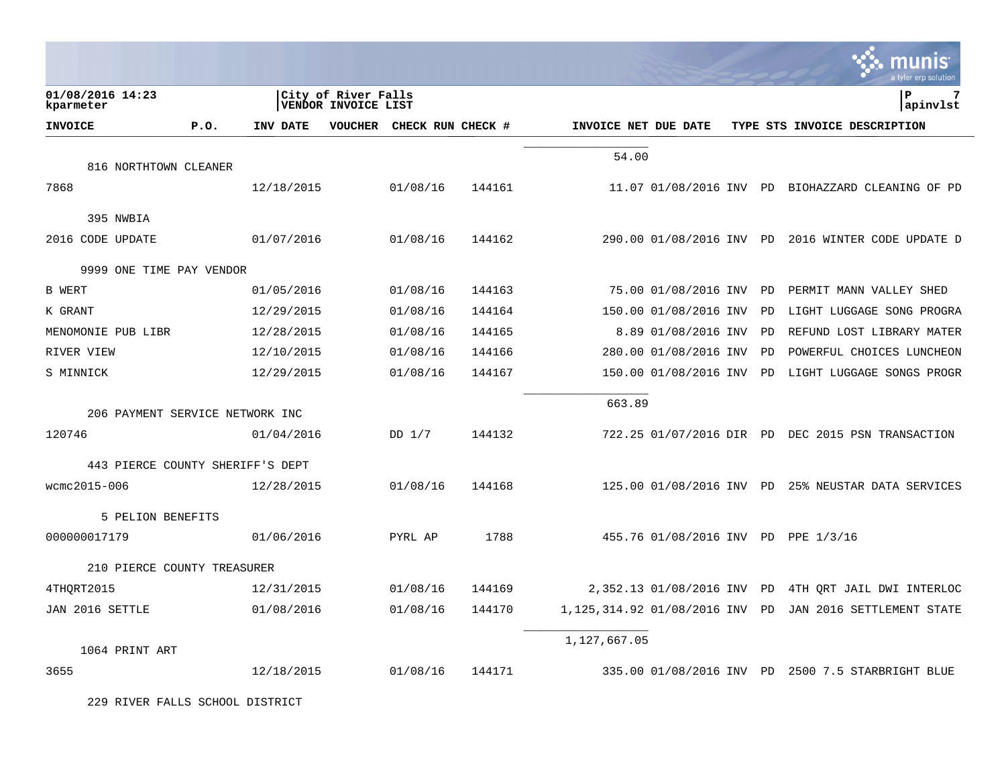|                                  |      |            |                                            |                   |        |                             |                         |    | munis<br>a tyler erp solution                      |
|----------------------------------|------|------------|--------------------------------------------|-------------------|--------|-----------------------------|-------------------------|----|----------------------------------------------------|
| 01/08/2016 14:23<br>kparmeter    |      |            | City of River Falls<br>VENDOR INVOICE LIST |                   |        |                             |                         |    | lР<br>apinvlst                                     |
| <b>INVOICE</b>                   | P.0. | INV DATE   | <b>VOUCHER</b>                             | CHECK RUN CHECK # |        | INVOICE NET DUE DATE        |                         |    | TYPE STS INVOICE DESCRIPTION                       |
|                                  |      |            |                                            |                   |        | 54.00                       |                         |    |                                                    |
| 816 NORTHTOWN CLEANER            |      |            |                                            |                   |        |                             |                         |    |                                                    |
| 7868                             |      | 12/18/2015 |                                            | 01/08/16          | 144161 |                             |                         |    | 11.07 01/08/2016 INV PD BIOHAZZARD CLEANING OF PD  |
| 395 NWBIA                        |      |            |                                            |                   |        |                             |                         |    |                                                    |
| 2016 CODE UPDATE                 |      | 01/07/2016 |                                            | 01/08/16          | 144162 |                             |                         |    | 290.00 01/08/2016 INV PD 2016 WINTER CODE UPDATE D |
| 9999 ONE TIME PAY VENDOR         |      |            |                                            |                   |        |                             |                         |    |                                                    |
| <b>B</b> WERT                    |      | 01/05/2016 |                                            | 01/08/16          | 144163 |                             | 75.00 01/08/2016 INV PD |    | PERMIT MANN VALLEY SHED                            |
| K GRANT                          |      | 12/29/2015 |                                            | 01/08/16          | 144164 |                             | 150.00 01/08/2016 INV   | PD | LIGHT LUGGAGE SONG PROGRA                          |
| MENOMONIE PUB LIBR               |      | 12/28/2015 |                                            | 01/08/16          | 144165 |                             | 8.89 01/08/2016 INV     | PD | REFUND LOST LIBRARY MATER                          |
| RIVER VIEW                       |      | 12/10/2015 |                                            | 01/08/16          | 144166 |                             | 280.00 01/08/2016 INV   | PD | POWERFUL CHOICES LUNCHEON                          |
| S MINNICK                        |      | 12/29/2015 |                                            | 01/08/16          | 144167 |                             | 150.00 01/08/2016 INV   | PD | LIGHT LUGGAGE SONGS PROGR                          |
|                                  |      |            |                                            |                   |        | 663.89                      |                         |    |                                                    |
| 206 PAYMENT SERVICE NETWORK INC  |      |            |                                            |                   |        |                             |                         |    |                                                    |
| 120746                           |      | 01/04/2016 |                                            | $DD$ $1/7$        | 144132 |                             |                         |    | 722.25 01/07/2016 DIR PD DEC 2015 PSN TRANSACTION  |
| 443 PIERCE COUNTY SHERIFF'S DEPT |      |            |                                            |                   |        |                             |                         |    |                                                    |
| wcmc2015-006                     |      | 12/28/2015 |                                            | 01/08/16          | 144168 |                             |                         |    | 125.00 01/08/2016 INV PD 25% NEUSTAR DATA SERVICES |
| 5 PELION BENEFITS                |      |            |                                            |                   |        |                             |                         |    |                                                    |
| 000000017179                     |      | 01/06/2016 |                                            | PYRL AP           | 1788   |                             |                         |    | 455.76 01/08/2016 INV PD PPE 1/3/16                |
| 210 PIERCE COUNTY TREASURER      |      |            |                                            |                   |        |                             |                         |    |                                                    |
| 4THORT2015                       |      | 12/31/2015 |                                            | 01/08/16          | 144169 |                             | 2,352.13 01/08/2016 INV | PD | 4TH ORT JAIL DWI INTERLOC                          |
| JAN 2016 SETTLE                  |      | 01/08/2016 |                                            | 01/08/16          | 144170 | 1,125,314.92 01/08/2016 INV |                         | PD | JAN 2016 SETTLEMENT STATE                          |
|                                  |      |            |                                            |                   |        | 1,127,667.05                |                         |    |                                                    |
| 1064 PRINT ART                   |      |            |                                            |                   |        |                             |                         |    |                                                    |
| 3655                             |      | 12/18/2015 |                                            | 01/08/16          | 144171 |                             |                         |    | 335.00 01/08/2016 INV PD 2500 7.5 STARBRIGHT BLUE  |

 $\mathcal{L}^{\bullet}$  .

229 RIVER FALLS SCHOOL DISTRICT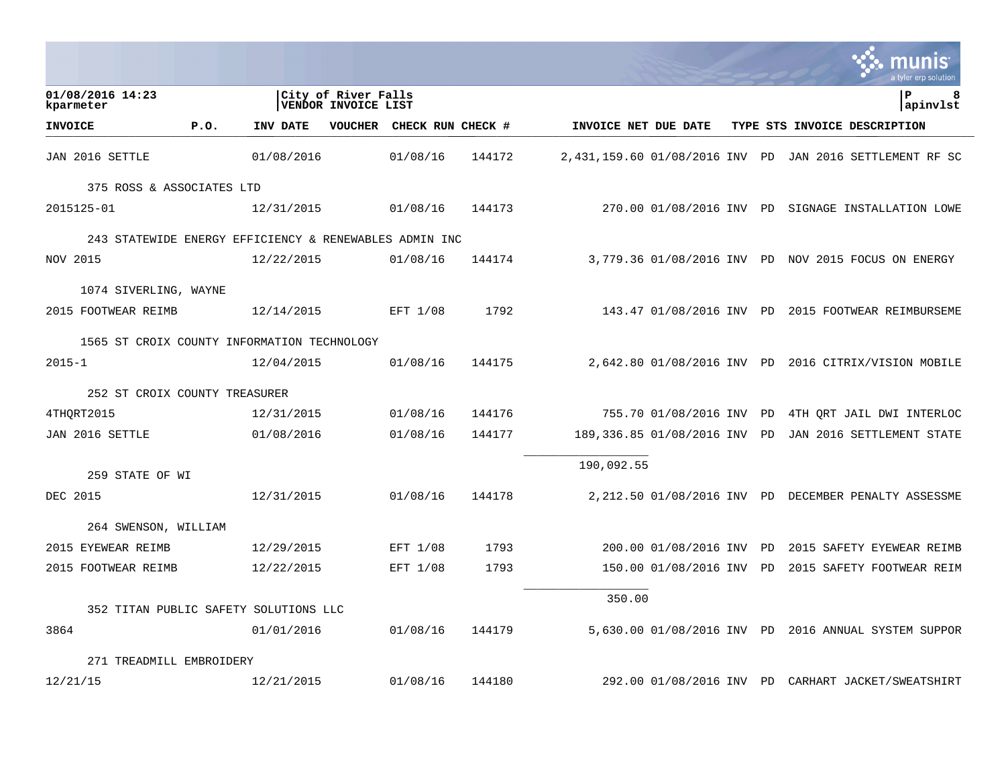|                                                        |      |            |                                            |                   |        |                                |                              |           | munis<br>a tyler erp solution                        |
|--------------------------------------------------------|------|------------|--------------------------------------------|-------------------|--------|--------------------------------|------------------------------|-----------|------------------------------------------------------|
| 01/08/2016 14:23<br>kparmeter                          |      |            | City of River Falls<br>VENDOR INVOICE LIST |                   |        |                                |                              |           | ΙP<br>8<br>apinvlst                                  |
| <b>INVOICE</b>                                         | P.0. | INV DATE   | <b>VOUCHER</b>                             | CHECK RUN CHECK # |        | INVOICE NET DUE DATE           |                              |           | TYPE STS INVOICE DESCRIPTION                         |
| JAN 2016 SETTLE                                        |      | 01/08/2016 |                                            | 01/08/16          | 144172 | 2,431,159.60 01/08/2016 INV PD |                              |           | JAN 2016 SETTLEMENT RF SC                            |
| 375 ROSS & ASSOCIATES LTD                              |      |            |                                            |                   |        |                                |                              |           |                                                      |
| 2015125-01                                             |      | 12/31/2015 |                                            | 01/08/16          | 144173 |                                |                              |           | 270.00 01/08/2016 INV PD SIGNAGE INSTALLATION LOWE   |
| 243 STATEWIDE ENERGY EFFICIENCY & RENEWABLES ADMIN INC |      |            |                                            |                   |        |                                |                              |           |                                                      |
| NOV 2015                                               |      | 12/22/2015 |                                            | 01/08/16          | 144174 |                                |                              |           | 3,779.36 01/08/2016 INV PD NOV 2015 FOCUS ON ENERGY  |
| 1074 SIVERLING, WAYNE                                  |      |            |                                            |                   |        |                                |                              |           |                                                      |
| 2015 FOOTWEAR REIMB                                    |      | 12/14/2015 |                                            | EFT 1/08          | 1792   |                                | 143.47 01/08/2016 INV PD     |           | 2015 FOOTWEAR REIMBURSEME                            |
| 1565 ST CROIX COUNTY INFORMATION TECHNOLOGY            |      |            |                                            |                   |        |                                |                              |           |                                                      |
| $2015 - 1$                                             |      | 12/04/2015 |                                            | 01/08/16          | 144175 |                                |                              |           | 2,642.80 01/08/2016 INV PD 2016 CITRIX/VISION MOBILE |
| 252 ST CROIX COUNTY TREASURER                          |      |            |                                            |                   |        |                                |                              |           |                                                      |
| 4THORT2015                                             |      | 12/31/2015 |                                            | 01/08/16          | 144176 |                                | 755.70 01/08/2016 INV        | PD        | 4TH ORT JAIL DWI INTERLOC                            |
| JAN 2016 SETTLE                                        |      | 01/08/2016 |                                            | 01/08/16          | 144177 |                                | 189,336.85 01/08/2016 INV PD |           | JAN 2016 SETTLEMENT STATE                            |
|                                                        |      |            |                                            |                   |        | 190,092.55                     |                              |           |                                                      |
| 259 STATE OF WI<br>DEC 2015                            |      | 12/31/2015 |                                            | 01/08/16          | 144178 |                                |                              |           | 2,212.50 01/08/2016 INV PD DECEMBER PENALTY ASSESSME |
|                                                        |      |            |                                            |                   |        |                                |                              |           |                                                      |
| 264 SWENSON, WILLIAM                                   |      |            |                                            |                   |        |                                |                              |           |                                                      |
| 2015 EYEWEAR REIMB                                     |      | 12/29/2015 |                                            | EFT 1/08          | 1793   |                                | 200.00 01/08/2016 INV        | <b>PD</b> | 2015 SAFETY EYEWEAR REIMB                            |
| 2015 FOOTWEAR REIMB                                    |      | 12/22/2015 |                                            | EFT 1/08          | 1793   |                                | 150.00 01/08/2016 INV PD     |           | 2015 SAFETY FOOTWEAR REIM                            |
| 352 TITAN PUBLIC SAFETY SOLUTIONS LLC                  |      |            |                                            |                   |        | 350.00                         |                              |           |                                                      |
|                                                        |      |            |                                            |                   |        |                                |                              |           |                                                      |
| 3864                                                   |      | 01/01/2016 |                                            | 01/08/16          | 144179 |                                | 5,630.00 01/08/2016 INV PD   |           | 2016 ANNUAL SYSTEM SUPPOR                            |
| 271 TREADMILL EMBROIDERY                               |      |            |                                            |                   |        |                                |                              |           |                                                      |
| 12/21/15                                               |      | 12/21/2015 |                                            | 01/08/16          | 144180 |                                |                              |           | 292.00 01/08/2016 INV PD CARHART JACKET/SWEATSHIRT   |